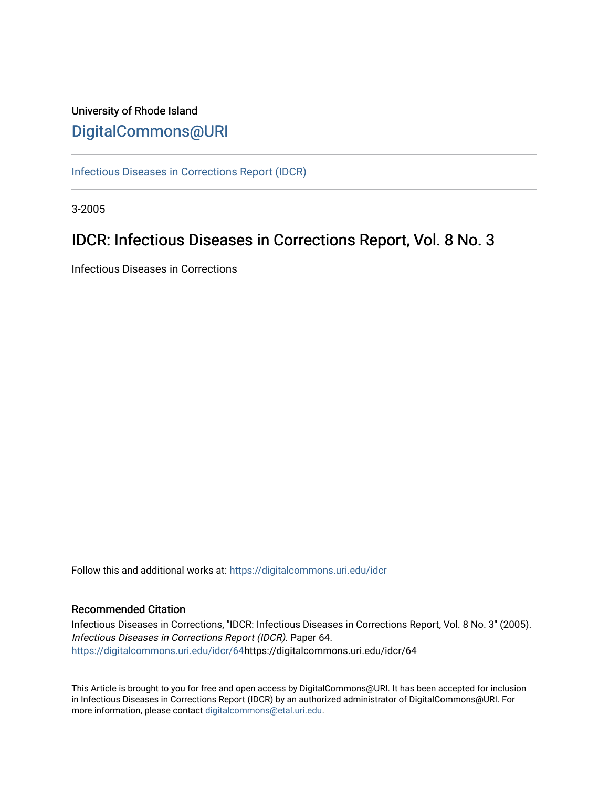## University of Rhode Island [DigitalCommons@URI](https://digitalcommons.uri.edu/)

[Infectious Diseases in Corrections Report \(IDCR\)](https://digitalcommons.uri.edu/idcr)

3-2005

# IDCR: Infectious Diseases in Corrections Report, Vol. 8 No. 3

Infectious Diseases in Corrections

Follow this and additional works at: [https://digitalcommons.uri.edu/idcr](https://digitalcommons.uri.edu/idcr?utm_source=digitalcommons.uri.edu%2Fidcr%2F64&utm_medium=PDF&utm_campaign=PDFCoverPages)

### Recommended Citation

Infectious Diseases in Corrections, "IDCR: Infectious Diseases in Corrections Report, Vol. 8 No. 3" (2005). Infectious Diseases in Corrections Report (IDCR). Paper 64. [https://digitalcommons.uri.edu/idcr/64h](https://digitalcommons.uri.edu/idcr/64?utm_source=digitalcommons.uri.edu%2Fidcr%2F64&utm_medium=PDF&utm_campaign=PDFCoverPages)ttps://digitalcommons.uri.edu/idcr/64

This Article is brought to you for free and open access by DigitalCommons@URI. It has been accepted for inclusion in Infectious Diseases in Corrections Report (IDCR) by an authorized administrator of DigitalCommons@URI. For more information, please contact [digitalcommons@etal.uri.edu.](mailto:digitalcommons@etal.uri.edu)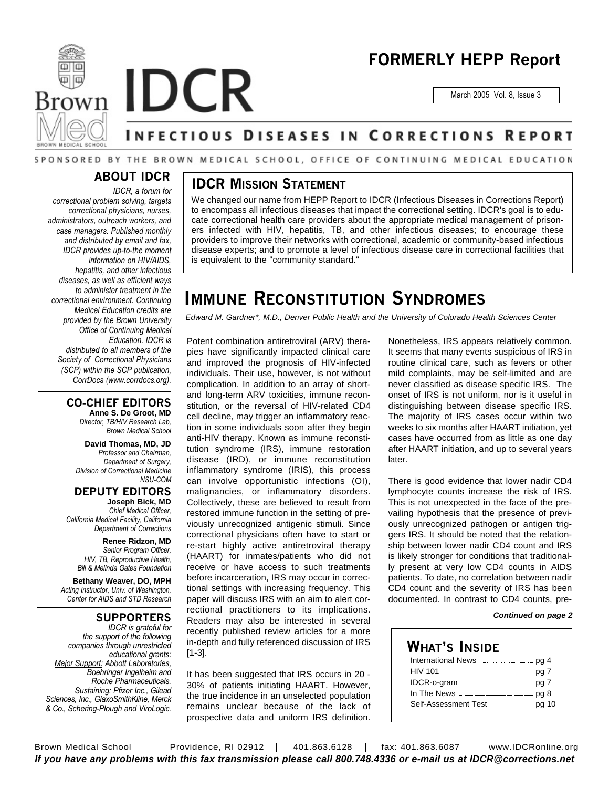



# **FORMERLY HEPP Report**

March 2005 Vol. 8, Issue 3

# **INFECTIOUS DISEASES IN CORRECTIONS REPORT**

### SPONSORED BY THE BROWN MEDICAL SCHOOL, OFFICE OF CONTINUING MEDICAL EDUCATION

## **ABOUT IDCR**

*IDCR, a forum for correctional problem solving, targets correctional physicians, nurses, administrators, outreach workers, and case managers. Published monthly and distributed by email and fax, IDCR provides up-to-the moment information on HIV/AIDS, hepatitis, and other infectious diseases, as well as efficient ways to administer treatment in the correctional environment. Continuing Medical Education credits are provided by the Brown University Office of Continuing Medical Education. IDCR is distributed to all members of the Society of Correctional Physicians (SCP) within the SCP publication, CorrDocs (www.corrdocs.org).*

### **CO-CHIEF EDITORS**

**Anne S. De Groot, MD** *Director, TB/HIV Research Lab, Brown Medical School*

**David Thomas, MD, JD** *Professor and Chairman, Department of Surgery, Division of Correctional Medicine NSU-COM*

**DEPUTY EDITORS Joseph Bick, MD** *Chief Medical Officer, California Medical Facility, California Department of Corrections*

> **Renee Ridzon, MD** *Senior Program Officer, HIV, TB, Reproductive Health, Bill & Melinda Gates Foundation*

**Bethany Weaver, DO, MPH** *Acting Instructor, Univ. of Washington, Center for AIDS and STD Research*

### **SUPPORTERS**

*IDCR is grateful for the support of the following companies through unrestricted educational grants: Major Support: Abbott Laboratories, Boehringer Ingelheim and Roche Pharmaceuticals. Sustaining: Pfizer Inc., Gilead Sciences, Inc., GlaxoSmithKline, Merck & Co., Schering-Plough and ViroLogic.*

## **IDCR MISSION STATEMENT**

We changed our name from HEPP Report to IDCR (Infectious Diseases in Corrections Report) to encompass all infectious diseases that impact the correctional setting. IDCR's goal is to educate correctional health care providers about the appropriate medical management of prisoners infected with HIV, hepatitis, TB, and other infectious diseases; to encourage these providers to improve their networks with correctional, academic or community-based infectious disease experts; and to promote a level of infectious disease care in correctional facilities that is equivalent to the "community standard."

# **IMMUNE RECONSTITUTION SYNDROMES**

*Edward M. Gardner\*, M.D., Denver Public Health and the University of Colorado Health Sciences Center*

Potent combination antiretroviral (ARV) therapies have significantly impacted clinical care and improved the prognosis of HIV-infected individuals. Their use, however, is not without complication. In addition to an array of shortand long-term ARV toxicities, immune reconstitution, or the reversal of HIV-related CD4 cell decline, may trigger an inflammatory reaction in some individuals soon after they begin anti-HIV therapy. Known as immune reconstitution syndrome (IRS), immune restoration disease (IRD), or immune reconstitution inflammatory syndrome (IRIS), this process can involve opportunistic infections (OI), malignancies, or inflammatory disorders. Collectively, these are believed to result from restored immune function in the setting of previously unrecognized antigenic stimuli. Since correctional physicians often have to start or re-start highly active antiretroviral therapy (HAART) for inmates/patients who did not receive or have access to such treatments before incarceration, IRS may occur in correctional settings with increasing frequency. This paper will discuss IRS with an aim to alert correctional practitioners to its implications. Readers may also be interested in several recently published review articles for a more in-depth and fully referenced discussion of IRS [1-3].

It has been suggested that IRS occurs in 20 - 30% of patients initiating HAART. However, the true incidence in an unselected population remains unclear because of the lack of prospective data and uniform IRS definition.

Nonetheless, IRS appears relatively common. It seems that many events suspicious of IRS in routine clinical care, such as fevers or other mild complaints, may be self-limited and are never classified as disease specific IRS. The onset of IRS is not uniform, nor is it useful in distinguishing between disease specific IRS. The majority of IRS cases occur within two weeks to six months after HAART initiation, yet cases have occurred from as little as one day after HAART initiation, and up to several years later.

There is good evidence that lower nadir CD4 lymphocyte counts increase the risk of IRS. This is not unexpected in the face of the prevailing hypothesis that the presence of previously unrecognized pathogen or antigen triggers IRS. It should be noted that the relationship between lower nadir CD4 count and IRS is likely stronger for conditions that traditionally present at very low CD4 counts in AIDS patients. To date, no correlation between nadir CD4 count and the severity of IRS has been documented. In contrast to CD4 counts, pre-

#### *Continued on page 2*

### **WHAT'S INSIDE** International News **manual manual** pg 4 HIV 101 **manual control of the CO** 7 IDCR-o-gram pg 7 In The News pg 8 Self-Assessment Test pg 10

Brown Medical School | Providence, RI 02912 | 401.863.6128 | fax: 401.863.6087 | www.IDCRonline.org *If you have any problems with this fax transmission please call 800.748.4336 or e-mail us at IDCR@corrections.net*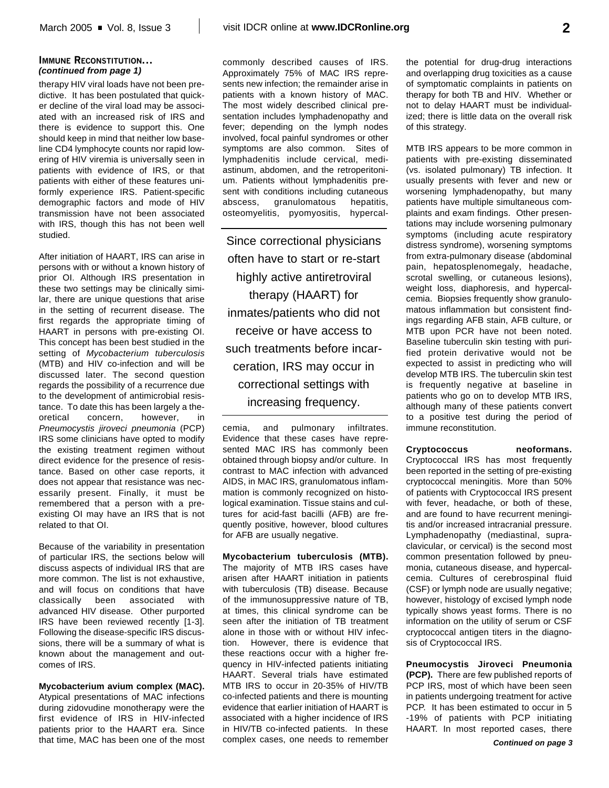### **IMMUNE RECONSTITUTION...** *(continued from page 1)*

therapy HIV viral loads have not been predictive. It has been postulated that quicker decline of the viral load may be associated with an increased risk of IRS and there is evidence to support this. One should keep in mind that neither low baseline CD4 lymphocyte counts nor rapid lowering of HIV viremia is universally seen in patients with evidence of IRS, or that patients with either of these features uniformly experience IRS. Patient-specific demographic factors and mode of HIV transmission have not been associated with IRS, though this has not been well studied.

After initiation of HAART, IRS can arise in persons with or without a known history of prior OI. Although IRS presentation in these two settings may be clinically similar, there are unique questions that arise in the setting of recurrent disease. The first regards the appropriate timing of HAART in persons with pre-existing OI. This concept has been best studied in the setting of *Mycobacterium tuberculosis* (MTB) and HIV co-infection and will be discussed later. The second question regards the possibility of a recurrence due to the development of antimicrobial resistance. To date this has been largely a theoretical concern, however, in *Pneumocystis jiroveci pneumonia* (PCP) IRS some clinicians have opted to modify the existing treatment regimen without direct evidence for the presence of resistance. Based on other case reports, it does not appear that resistance was necessarily present. Finally, it must be remembered that a person with a preexisting OI may have an IRS that is not related to that OI.

Because of the variability in presentation of particular IRS, the sections below will discuss aspects of individual IRS that are more common. The list is not exhaustive, and will focus on conditions that have classically been associated with advanced HIV disease. Other purported IRS have been reviewed recently [1-3]. Following the disease-specific IRS discussions, there will be a summary of what is known about the management and outcomes of IRS.

**Mycobacterium avium complex (MAC).** Atypical presentations of MAC infections during zidovudine monotherapy were the first evidence of IRS in HIV-infected patients prior to the HAART era. Since that time, MAC has been one of the most commonly described causes of IRS. Approximately 75% of MAC IRS represents new infection; the remainder arise in patients with a known history of MAC. The most widely described clinical presentation includes lymphadenopathy and fever; depending on the lymph nodes involved, focal painful syndromes or other symptoms are also common. Sites of lymphadenitis include cervical, mediastinum, abdomen, and the retroperitonium. Patients without lymphadenitis present with conditions including cutaneous abscess, granulomatous hepatitis, osteomyelitis, pyomyositis, hypercal-

Since correctional physicians often have to start or re-start highly active antiretroviral therapy (HAART) for inmates/patients who did not receive or have access to such treatments before incarceration, IRS may occur in correctional settings with increasing frequency.

cemia, and pulmonary infiltrates. Evidence that these cases have represented MAC IRS has commonly been obtained through biopsy and/or culture. In contrast to MAC infection with advanced AIDS, in MAC IRS, granulomatous inflammation is commonly recognized on histological examination. Tissue stains and cultures for acid-fast bacilli (AFB) are frequently positive, however, blood cultures for AFB are usually negative.

**Mycobacterium tuberculosis (MTB).** The majority of MTB IRS cases have arisen after HAART initiation in patients with tuberculosis (TB) disease. Because of the immunosuppressive nature of TB, at times, this clinical syndrome can be seen after the initiation of TB treatment alone in those with or without HIV infection. However, there is evidence that these reactions occur with a higher frequency in HIV-infected patients initiating HAART. Several trials have estimated MTB IRS to occur in 20-35% of HIV/TB co-infected patients and there is mounting evidence that earlier initiation of HAART is associated with a higher incidence of IRS in HIV/TB co-infected patients. In these complex cases, one needs to remember

the potential for drug-drug interactions and overlapping drug toxicities as a cause of symptomatic complaints in patients on therapy for both TB and HIV. Whether or not to delay HAART must be individualized; there is little data on the overall risk of this strategy.

MTB IRS appears to be more common in patients with pre-existing disseminated (vs. isolated pulmonary) TB infection. It usually presents with fever and new or worsening lymphadenopathy, but many patients have multiple simultaneous complaints and exam findings. Other presentations may include worsening pulmonary symptoms (including acute respiratory distress syndrome), worsening symptoms from extra-pulmonary disease (abdominal pain, hepatosplenomegaly, headache, scrotal swelling, or cutaneous lesions), weight loss, diaphoresis, and hypercalcemia. Biopsies frequently show granulomatous inflammation but consistent findings regarding AFB stain, AFB culture, or MTB upon PCR have not been noted. Baseline tuberculin skin testing with purified protein derivative would not be expected to assist in predicting who will develop MTB IRS. The tuberculin skin test is frequently negative at baseline in patients who go on to develop MTB IRS, although many of these patients convert to a positive test during the period of immune reconstitution.

#### **Cryptococcus neoformans.**

Cryptococcal IRS has most frequently been reported in the setting of pre-existing cryptococcal meningitis. More than 50% of patients with Cryptococcal IRS present with fever, headache, or both of these, and are found to have recurrent meningitis and/or increased intracranial pressure. Lymphadenopathy (mediastinal, supraclavicular, or cervical) is the second most common presentation followed by pneumonia, cutaneous disease, and hypercalcemia. Cultures of cerebrospinal fluid (CSF) or lymph node are usually negative; however, histology of excised lymph node typically shows yeast forms. There is no information on the utility of serum or CSF cryptococcal antigen titers in the diagnosis of Cryptococcal IRS.

**Pneumocystis Jiroveci Pneumonia (PCP).** There are few published reports of PCP IRS, most of which have been seen in patients undergoing treatment for active PCP. It has been estimated to occur in 5 -19% of patients with PCP initiating HAART. In most reported cases, there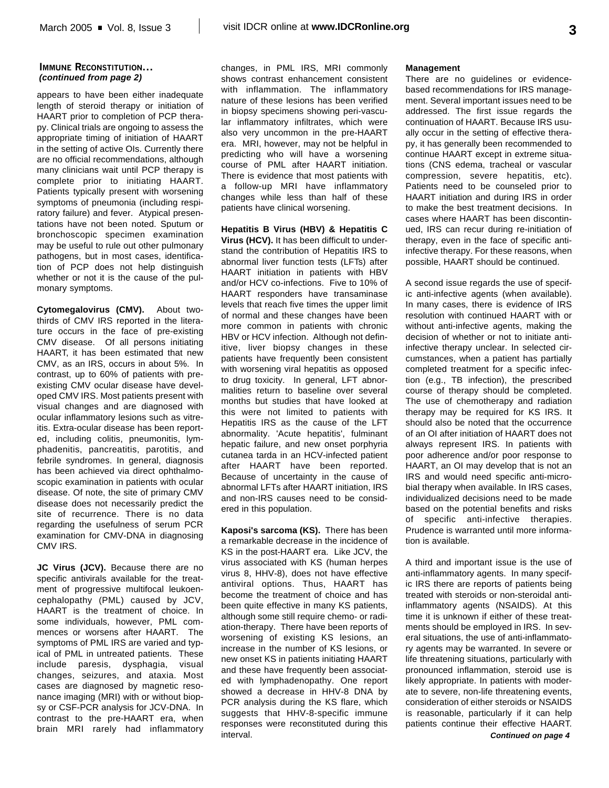#### **IMMUNE RECONSTITUTION...** *(continued from page 2)*

appears to have been either inadequate length of steroid therapy or initiation of HAART prior to completion of PCP therapy. Clinical trials are ongoing to assess the appropriate timing of initiation of HAART in the setting of active OIs. Currently there are no official recommendations, although many clinicians wait until PCP therapy is complete prior to initiating HAART. Patients typically present with worsening symptoms of pneumonia (including respiratory failure) and fever. Atypical presentations have not been noted. Sputum or bronchoscopic specimen examination may be useful to rule out other pulmonary pathogens, but in most cases, identification of PCP does not help distinguish whether or not it is the cause of the pulmonary symptoms.

**Cytomegalovirus (CMV).** About twothirds of CMV IRS reported in the literature occurs in the face of pre-existing CMV disease. Of all persons initiating HAART, it has been estimated that new CMV, as an IRS, occurs in about 5%. In contrast, up to 60% of patients with preexisting CMV ocular disease have developed CMV IRS. Most patients present with visual changes and are diagnosed with ocular inflammatory lesions such as vitreitis. Extra-ocular disease has been reported, including colitis, pneumonitis, lymphadenitis, pancreatitis, parotitis, and febrile syndromes. In general, diagnosis has been achieved via direct ophthalmoscopic examination in patients with ocular disease. Of note, the site of primary CMV disease does not necessarily predict the site of recurrence. There is no data regarding the usefulness of serum PCR examination for CMV-DNA in diagnosing CMV IRS.

**JC Virus (JCV).** Because there are no specific antivirals available for the treatment of progressive multifocal leukoencephalopathy (PML) caused by JCV, HAART is the treatment of choice. In some individuals, however, PML commences or worsens after HAART. The symptoms of PML IRS are varied and typical of PML in untreated patients. These include paresis, dysphagia, visual changes, seizures, and ataxia. Most cases are diagnosed by magnetic resonance imaging (MRI) with or without biopsy or CSF-PCR analysis for JCV-DNA. In contrast to the pre-HAART era, when brain MRI rarely had inflammatory changes, in PML IRS, MRI commonly shows contrast enhancement consistent with inflammation. The inflammatory nature of these lesions has been verified in biopsy specimens showing peri-vascular inflammatory infiltrates, which were also very uncommon in the pre-HAART era. MRI, however, may not be helpful in predicting who will have a worsening course of PML after HAART initiation. There is evidence that most patients with a follow-up MRI have inflammatory changes while less than half of these patients have clinical worsening.

**Hepatitis B Virus (HBV) & Hepatitis C Virus (HCV).** It has been difficult to understand the contribution of Hepatitis IRS to abnormal liver function tests (LFTs) after HAART initiation in patients with HBV and/or HCV co-infections. Five to 10% of HAART responders have transaminase levels that reach five times the upper limit of normal and these changes have been more common in patients with chronic HBV or HCV infection. Although not definitive, liver biopsy changes in these patients have frequently been consistent with worsening viral hepatitis as opposed to drug toxicity. In general, LFT abnormalities return to baseline over several months but studies that have looked at this were not limited to patients with Hepatitis IRS as the cause of the LFT abnormality. 'Acute hepatitis', fulminant hepatic failure, and new onset porphyria cutanea tarda in an HCV-infected patient after HAART have been reported. Because of uncertainty in the cause of abnormal LFTs after HAART initiation, IRS and non-IRS causes need to be considered in this population.

**Kaposi's sarcoma (KS).** There has been a remarkable decrease in the incidence of KS in the post-HAART era. Like JCV, the virus associated with KS (human herpes virus 8, HHV-8), does not have effective antiviral options. Thus, HAART has become the treatment of choice and has been quite effective in many KS patients, although some still require chemo- or radiation-therapy. There have been reports of worsening of existing KS lesions, an increase in the number of KS lesions, or new onset KS in patients initiating HAART and these have frequently been associated with lymphadenopathy. One report showed a decrease in HHV-8 DNA by PCR analysis during the KS flare, which suggests that HHV-8-specific immune responses were reconstituted during this interval.

#### **Management**

There are no guidelines or evidencebased recommendations for IRS management. Several important issues need to be addressed. The first issue regards the continuation of HAART. Because IRS usually occur in the setting of effective therapy, it has generally been recommended to continue HAART except in extreme situations (CNS edema, tracheal or vascular compression, severe hepatitis, etc). Patients need to be counseled prior to HAART initiation and during IRS in order to make the best treatment decisions. In cases where HAART has been discontinued, IRS can recur during re-initiation of therapy, even in the face of specific antiinfective therapy. For these reasons, when possible, HAART should be continued.

A second issue regards the use of specific anti-infective agents (when available). In many cases, there is evidence of IRS resolution with continued HAART with or without anti-infective agents, making the decision of whether or not to initiate antiinfective therapy unclear. In selected circumstances, when a patient has partially completed treatment for a specific infection (e.g., TB infection), the prescribed course of therapy should be completed. The use of chemotherapy and radiation therapy may be required for KS IRS. It should also be noted that the occurrence of an OI after initiation of HAART does not always represent IRS. In patients with poor adherence and/or poor response to HAART, an OI may develop that is not an IRS and would need specific anti-microbial therapy when available. In IRS cases, individualized decisions need to be made based on the potential benefits and risks of specific anti-infective therapies. Prudence is warranted until more information is available.

A third and important issue is the use of anti-inflammatory agents. In many specific IRS there are reports of patients being treated with steroids or non-steroidal antiinflammatory agents (NSAIDS). At this time it is unknown if either of these treatments should be employed in IRS. In several situations, the use of anti-inflammatory agents may be warranted. In severe or life threatening situations, particularly with pronounced inflammation, steroid use is likely appropriate. In patients with moderate to severe, non-life threatening events, consideration of either steroids or NSAIDS is reasonable, particularly if it can help patients continue their effective HAART.

*Continued on page 4*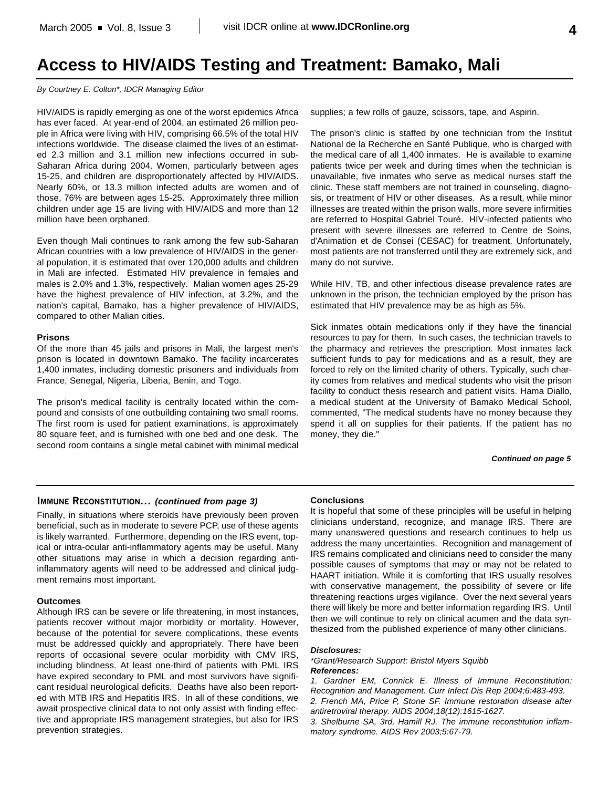# **Access to HIV/AIDS Testing and Treatment: Bamako, Mali**

#### *By Courtney E. Colton\*, IDCR Managing Editor*

HIV/AIDS is rapidly emerging as one of the worst epidemics Africa has ever faced. At year-end of 2004, an estimated 26 million people in Africa were living with HIV, comprising 66.5% of the total HIV infections worldwide. The disease claimed the lives of an estimated 2.3 million and 3.1 million new infections occurred in sub-Saharan Africa during 2004. Women, particularly between ages 15-25, and children are disproportionately affected by HIV/AIDS. Nearly 60%, or 13.3 million infected adults are women and of those, 76% are between ages 15-25. Approximately three million children under age 15 are living with HIV/AIDS and more than 12 million have been orphaned.

Even though Mali continues to rank among the few sub-Saharan African countries with a low prevalence of HIV/AIDS in the general population, it is estimated that over 120,000 adults and children in Mali are infected. Estimated HIV prevalence in females and males is 2.0% and 1.3%, respectively. Malian women ages 25-29 have the highest prevalence of HIV infection, at 3.2%, and the nation's capital, Bamako, has a higher prevalence of HIV/AIDS, compared to other Malian cities.

#### **Prisons**

Of the more than 45 jails and prisons in Mali, the largest men's prison is located in downtown Bamako. The facility incarcerates 1,400 inmates, including domestic prisoners and individuals from France, Senegal, Nigeria, Liberia, Benin, and Togo.

The prison's medical facility is centrally located within the compound and consists of one outbuilding containing two small rooms. The first room is used for patient examinations, is approximately 80 square feet, and is furnished with one bed and one desk. The second room contains a single metal cabinet with minimal medical supplies; a few rolls of gauze, scissors, tape, and Aspirin.

The prison's clinic is staffed by one technician from the Institut National de la Recherche en Santé Publique, who is charged with the medical care of all 1,400 inmates. He is available to examine patients twice per week and during times when the technician is unavailable, five inmates who serve as medical nurses staff the clinic. These staff members are not trained in counseling, diagnosis, or treatment of HIV or other diseases. As a result, while minor illnesses are treated within the prison walls, more severe infirmities are referred to Hospital Gabriel Touré. HIV-infected patients who present with severe illnesses are referred to Centre de Soins, d'Animation et de Consei (CESAC) for treatment. Unfortunately, most patients are not transferred until they are extremely sick, and many do not survive.

While HIV, TB, and other infectious disease prevalence rates are unknown in the prison, the technician employed by the prison has estimated that HIV prevalence may be as high as 5%.

Sick inmates obtain medications only if they have the financial resources to pay for them. In such cases, the technician travels to the pharmacy and retrieves the prescription. Most inmates lack sufficient funds to pay for medications and as a result, they are forced to rely on the limited charity of others. Typically, such charity comes from relatives and medical students who visit the prison facility to conduct thesis research and patient visits. Hama Diallo, a medical student at the University of Bamako Medical School, commented, "The medical students have no money because they spend it all on supplies for their patients. If the patient has no money, they die."

*Continued on page 5*

#### **IMMUNE RECONSTITUTION...** *(continued from page 3)*

Finally, in situations where steroids have previously been proven beneficial, such as in moderate to severe PCP, use of these agents is likely warranted. Furthermore, depending on the IRS event, topical or intra-ocular anti-inflammatory agents may be useful. Many other situations may arise in which a decision regarding antiinflammatory agents will need to be addressed and clinical judgment remains most important.

#### **Outcomes**

Although IRS can be severe or life threatening, in most instances, patients recover without major morbidity or mortality. However, because of the potential for severe complications, these events must be addressed quickly and appropriately. There have been reports of occasional severe ocular morbidity with CMV IRS, including blindness. At least one-third of patients with PML IRS have expired secondary to PML and most survivors have significant residual neurological deficits. Deaths have also been reported with MTB IRS and Hepatitis IRS. In all of these conditions, we await prospective clinical data to not only assist with finding effective and appropriate IRS management strategies, but also for IRS prevention strategies.

#### **Conclusions**

It is hopeful that some of these principles will be useful in helping clinicians understand, recognize, and manage IRS. There are many unanswered questions and research continues to help us address the many uncertainties. Recognition and management of IRS remains complicated and clinicians need to consider the many possible causes of symptoms that may or may not be related to HAART initiation. While it is comforting that IRS usually resolves with conservative management, the possibility of severe or life threatening reactions urges vigilance. Over the next several years there will likely be more and better information regarding IRS. Until then we will continue to rely on clinical acumen and the data synthesized from the published experience of many other clinicians.

#### *Disclosures:*

*\*Grant/Research Support: Bristol Myers Squibb References:*

*1. Gardner EM, Connick E. Illness of Immune Reconstitution: Recognition and Management. Curr Infect Dis Rep 2004;6:483-493. 2. French MA, Price P, Stone SF. Immune restoration disease after*

*matory syndrome. AIDS Rev 2003;5:67-79.*

*antiretroviral therapy. AIDS 2004;18(12):1615-1627. 3. Shelburne SA, 3rd, Hamill RJ. The immune reconstitution inflam-*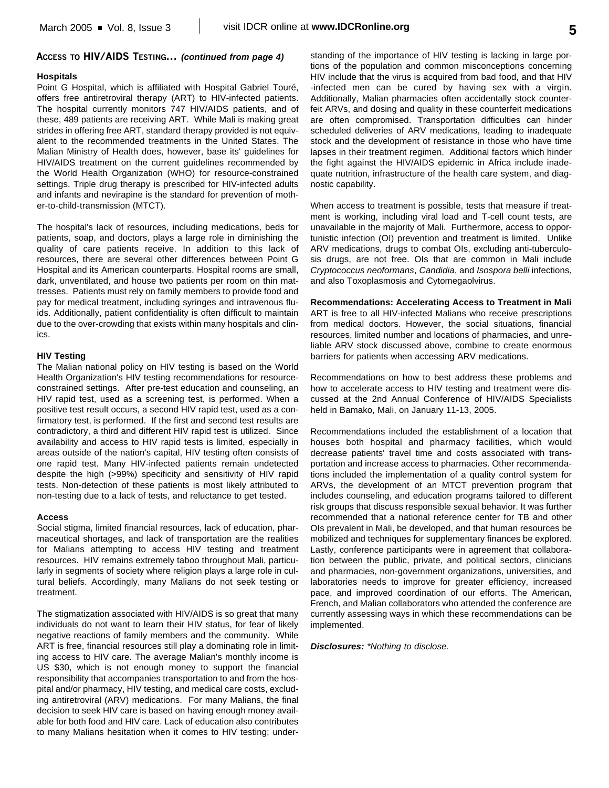### **ACCESS TO HIV/AIDS TESTING...** *(continued from page 4)*

#### **Hospitals**

Point G Hospital, which is affiliated with Hospital Gabriel Touré, offers free antiretroviral therapy (ART) to HIV-infected patients. The hospital currently monitors 747 HIV/AIDS patients, and of these, 489 patients are receiving ART. While Mali is making great strides in offering free ART, standard therapy provided is not equivalent to the recommended treatments in the United States. The Malian Ministry of Health does, however, base its' guidelines for HIV/AIDS treatment on the current guidelines recommended by the World Health Organization (WHO) for resource-constrained settings. Triple drug therapy is prescribed for HIV-infected adults and infants and nevirapine is the standard for prevention of mother-to-child-transmission (MTCT).

The hospital's lack of resources, including medications, beds for patients, soap, and doctors, plays a large role in diminishing the quality of care patients receive. In addition to this lack of resources, there are several other differences between Point G Hospital and its American counterparts. Hospital rooms are small, dark, unventilated, and house two patients per room on thin mattresses. Patients must rely on family members to provide food and pay for medical treatment, including syringes and intravenous fluids. Additionally, patient confidentiality is often difficult to maintain due to the over-crowding that exists within many hospitals and clinics.

#### **HIV Testing**

The Malian national policy on HIV testing is based on the World Health Organization's HIV testing recommendations for resourceconstrained settings. After pre-test education and counseling, an HIV rapid test, used as a screening test, is performed. When a positive test result occurs, a second HIV rapid test, used as a confirmatory test, is performed. If the first and second test results are contradictory, a third and different HIV rapid test is utilized. Since availability and access to HIV rapid tests is limited, especially in areas outside of the nation's capital, HIV testing often consists of one rapid test. Many HIV-infected patients remain undetected despite the high (>99%) specificity and sensitivity of HIV rapid tests. Non-detection of these patients is most likely attributed to non-testing due to a lack of tests, and reluctance to get tested.

#### **Access**

Social stigma, limited financial resources, lack of education, pharmaceutical shortages, and lack of transportation are the realities for Malians attempting to access HIV testing and treatment resources. HIV remains extremely taboo throughout Mali, particularly in segments of society where religion plays a large role in cultural beliefs. Accordingly, many Malians do not seek testing or treatment.

The stigmatization associated with HIV/AIDS is so great that many individuals do not want to learn their HIV status, for fear of likely negative reactions of family members and the community. While ART is free, financial resources still play a dominating role in limiting access to HIV care. The average Malian's monthly income is US \$30, which is not enough money to support the financial responsibility that accompanies transportation to and from the hospital and/or pharmacy, HIV testing, and medical care costs, excluding antiretroviral (ARV) medications. For many Malians, the final decision to seek HIV care is based on having enough money available for both food and HIV care. Lack of education also contributes to many Malians hesitation when it comes to HIV testing; under-

standing of the importance of HIV testing is lacking in large portions of the population and common misconceptions concerning HIV include that the virus is acquired from bad food, and that HIV -infected men can be cured by having sex with a virgin. Additionally, Malian pharmacies often accidentally stock counterfeit ARVs, and dosing and quality in these counterfeit medications are often compromised. Transportation difficulties can hinder scheduled deliveries of ARV medications, leading to inadequate stock and the development of resistance in those who have time lapses in their treatment regimen. Additional factors which hinder the fight against the HIV/AIDS epidemic in Africa include inadequate nutrition, infrastructure of the health care system, and diagnostic capability.

When access to treatment is possible, tests that measure if treatment is working, including viral load and T-cell count tests, are unavailable in the majority of Mali. Furthermore, access to opportunistic infection (OI) prevention and treatment is limited. Unlike ARV medications, drugs to combat OIs, excluding anti-tuberculosis drugs, are not free. OIs that are common in Mali include *Cryptococcus neoformans*, *Candidia*, and *Isospora belli* infections, and also Toxoplasmosis and Cytomegaolvirus.

#### **Recommendations: Accelerating Access to Treatment in Mali**

ART is free to all HIV-infected Malians who receive prescriptions from medical doctors. However, the social situations, financial resources, limited number and locations of pharmacies, and unreliable ARV stock discussed above, combine to create enormous barriers for patients when accessing ARV medications.

Recommendations on how to best address these problems and how to accelerate access to HIV testing and treatment were discussed at the 2nd Annual Conference of HIV/AIDS Specialists held in Bamako, Mali, on January 11-13, 2005.

Recommendations included the establishment of a location that houses both hospital and pharmacy facilities, which would decrease patients' travel time and costs associated with transportation and increase access to pharmacies. Other recommendations included the implementation of a quality control system for ARVs, the development of an MTCT prevention program that includes counseling, and education programs tailored to different risk groups that discuss responsible sexual behavior. It was further recommended that a national reference center for TB and other OIs prevalent in Mali, be developed, and that human resources be mobilized and techniques for supplementary finances be explored. Lastly, conference participants were in agreement that collaboration between the public, private, and political sectors, clinicians and pharmacies, non-government organizations, universities, and laboratories needs to improve for greater efficiency, increased pace, and improved coordination of our efforts. The American, French, and Malian collaborators who attended the conference are currently assessing ways in which these recommendations can be implemented.

#### *Disclosures: \*Nothing to disclose.*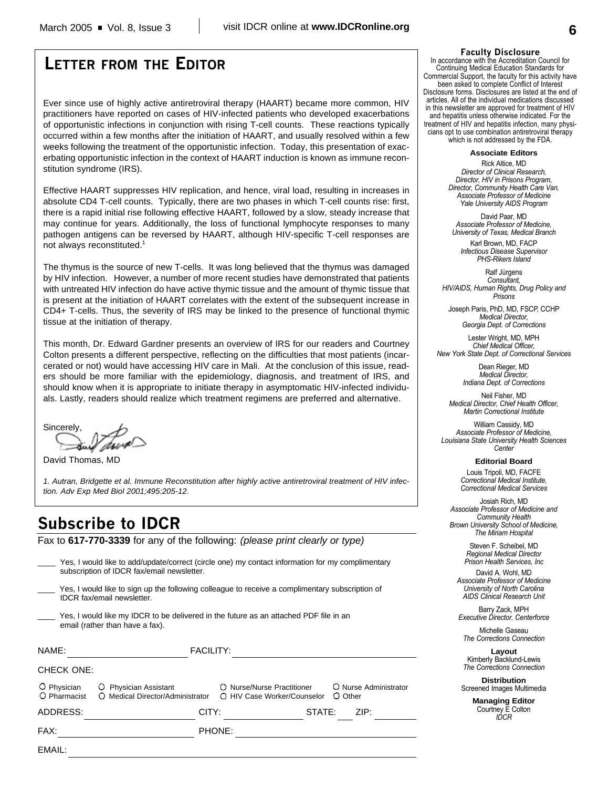# **LETTER FROM THE EDITOR**

Ever since use of highly active antiretroviral therapy (HAART) became more common, HIV practitioners have reported on cases of HIV-infected patients who developed exacerbations of opportunistic infections in conjunction with rising T-cell counts. These reactions typically occurred within a few months after the initiation of HAART, and usually resolved within a few weeks following the treatment of the opportunistic infection. Today, this presentation of exacerbating opportunistic infection in the context of HAART induction is known as immune reconstitution syndrome (IRS).

Effective HAART suppresses HIV replication, and hence, viral load, resulting in increases in absolute CD4 T-cell counts. Typically, there are two phases in which T-cell counts rise: first, there is a rapid initial rise following effective HAART, followed by a slow, steady increase that may continue for years. Additionally, the loss of functional lymphocyte responses to many pathogen antigens can be reversed by HAART, although HIV-specific T-cell responses are not always reconstituted.<sup>1</sup>

The thymus is the source of new T-cells. It was long believed that the thymus was damaged by HIV infection. However, a number of more recent studies have demonstrated that patients with untreated HIV infection do have active thymic tissue and the amount of thymic tissue that is present at the initiation of HAART correlates with the extent of the subsequent increase in CD4+ T-cells. Thus, the severity of IRS may be linked to the presence of functional thymic tissue at the initiation of therapy.

This month, Dr. Edward Gardner presents an overview of IRS for our readers and Courtney Colton presents a different perspective, reflecting on the difficulties that most patients (incarcerated or not) would have accessing HIV care in Mali. At the conclusion of this issue, readers should be more familiar with the epidemiology, diagnosis, and treatment of IRS, and should know when it is appropriate to initiate therapy in asymptomatic HIV-infected individuals. Lastly, readers should realize which treatment regimens are preferred and alternative.

Sincerely,

David Thomas, MD

*1. Autran, Bridgette et al. Immune Reconstitution after highly active antiretroviral treatment of HIV infection. Adv Exp Med Biol 2001;495:205-12.*

\_\_\_\_ Yes, I would like to add/update/correct (circle one) my contact information for my complimentary

## **Subscribe to IDCR**

Fax to **617-770-3339** for any of the following: *(please print clearly or type)*

| 100, I modia lino to dad apadio con ou follow one, in y contact information for my complimentary<br>subscription of IDCR fax/email newsletter. |                                                           |                                                                   |                       |  |
|------------------------------------------------------------------------------------------------------------------------------------------------|-----------------------------------------------------------|-------------------------------------------------------------------|-----------------------|--|
| Yes, I would like to sign up the following colleague to receive a complimentary subscription of<br><b>IDCR</b> fax/email newsletter.           |                                                           |                                                                   |                       |  |
| Yes, I would like my IDCR to be delivered in the future as an attached PDF file in an<br>email (rather than have a fax).                       |                                                           |                                                                   |                       |  |
| NAME:                                                                                                                                          | <b>FACILITY:</b>                                          |                                                                   |                       |  |
| <b>CHECK ONE:</b>                                                                                                                              |                                                           |                                                                   |                       |  |
| O Physician<br>O Pharmacist                                                                                                                    | O Physician Assistant<br>O Medical Director/Administrator | O Nurse/Nurse Practitioner<br>O HIV Case Worker/Counselor O Other | O Nurse Administrator |  |
| ADDRESS:                                                                                                                                       | CITY:                                                     | STATE:                                                            | ZIP:                  |  |
| FAX:                                                                                                                                           |                                                           | PHONE:                                                            |                       |  |
| EMAIL:                                                                                                                                         |                                                           |                                                                   |                       |  |
|                                                                                                                                                |                                                           |                                                                   |                       |  |

#### **Faculty Disclosure**

In accordance with the Accreditation Council for Continuing Medical Education Standards for Commercial Support, the faculty for this activity have been asked to complete Conflict of Interest Disclosure forms. Disclosures are listed at the end of articles. All of the individual medications discussed in this newsletter are approved for treatment of HIV and hepatitis unless otherwise indicated. For the treatment of HIV and hepatitis infection, many physicians opt to use combination antiretroviral therapy which is not addressed by the FDA.

**Associate Editors**

Rick Altice, MD *Director of Clinical Research, Director, HIV in Prisons Program, Director, Community Health Care Van, Associate Professor of Medicine Yale University AIDS Program*

David Paar, MD *Associate Professor of Medicine, University of Texas, Medical Branch*

Karl Brown, MD, FACP *Infectious Disease Supervisor PHS-Rikers Island*

Ralf Jürgens *Consultant, HIV/AIDS, Human Rights, Drug Policy and Prisons*

Joseph Paris, PhD, MD, FSCP, CCHP *Medical Director, Georgia Dept. of Corrections*

Lester Wright, MD, MPH *Chief Medical Officer, New York State Dept. of Correctional Services*

> Dean Rieger, MD *Medical Director, Indiana Dept. of Corrections*

Neil Fisher, MD *Medical Director, Chief Health Officer, Martin Correctional Institute*

William Cassidy, MD *Associate Professor of Medicine, Louisiana State University Health Sciences Center*

**Editorial Board**

Louis Tripoli, MD, FACFE *Correctional Medical Institute, Correctional Medical Services*

Josiah Rich, MD *Associate Professor of Medicine and Community Health Brown University School of Medicine, The Miriam Hospital*

> Steven F. Scheibel, MD *Regional Medical Director Prison Health Services, Inc*

David A. Wohl, MD *Associate Professor of Medicine University of North Carolina AIDS Clinical Research Unit*

Barry Zack, MPH *Executive Director, Centerforce*

Michelle Gaseau *The Corrections Connection*

**Layout** Kimberly Backlund-Lewis *The Corrections Connection*

**Distribution** Screened Images Multimedia

> **Managing Editor** Courtney E Colton *IDCR*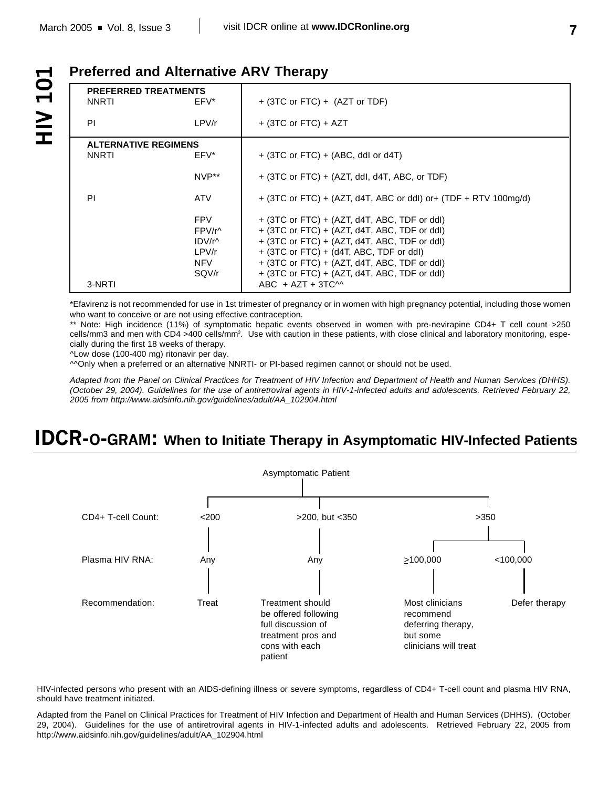**OT AIH** 

## **Preferred and Alternative ARV Therapy**

| <b>PREFERRED TREATMENTS</b><br><b>NNRTI</b><br>EFV*      | $+$ (3TC or FTC) $+$ (AZT or TDF)                                                                                                                                                                                                                                                                       |
|----------------------------------------------------------|---------------------------------------------------------------------------------------------------------------------------------------------------------------------------------------------------------------------------------------------------------------------------------------------------------|
| PI<br>LPV/r                                              | $+$ (3TC or FTC) + AZT                                                                                                                                                                                                                                                                                  |
| <b>ALTERNATIVE REGIMENS</b>                              |                                                                                                                                                                                                                                                                                                         |
| <b>NNRTI</b><br>EFV*                                     | $+$ (3TC or FTC) $+$ (ABC, ddl or d4T)                                                                                                                                                                                                                                                                  |
| NVP**                                                    | $+$ (3TC or FTC) $+$ (AZT, ddl, d4T, ABC, or TDF)                                                                                                                                                                                                                                                       |
| ΡI<br>ATV.                                               | $+$ (3TC or FTC) + (AZT, d4T, ABC or ddl) or + (TDF + RTV 100mg/d)                                                                                                                                                                                                                                      |
| <b>FPV</b><br>FPV/r^<br>IDV/r^<br>LPV/r<br>NFV.<br>SQV/r | $+$ (3TC or FTC) $+$ (AZT, d4T, ABC, TDF or ddl)<br>$+$ (3TC or FTC) $+$ (AZT, d4T, ABC, TDF or ddl)<br>$+$ (3TC or FTC) $+$ (AZT, d4T, ABC, TDF or ddl)<br>+ (3TC or FTC) + (d4T, ABC, TDF or ddl)<br>$+$ (3TC or FTC) $+$ (AZT, d4T, ABC, TDF or ddl)<br>+ (3TC or FTC) + (AZT, d4T, ABC, TDF or ddl) |
| 3-NRTI                                                   | ABC $+$ AZT $+$ 3TC $\sim$                                                                                                                                                                                                                                                                              |

\*Efavirenz is not recommended for use in 1st trimester of pregnancy or in women with high pregnancy potential, including those women who want to conceive or are not using effective contraception.

\*\* Note: High incidence (11%) of symptomatic hepatic events observed in women with pre-nevirapine CD4+ T cell count >250 cells/mm3 and men with CD4 >400 cells/mm<sup>3</sup>. Use with caution in these patients, with close clinical and laboratory monitoring, especially during the first 18 weeks of therapy.

^Low dose (100-400 mg) ritonavir per day.

^^Only when a preferred or an alternative NNRTI- or PI-based regimen cannot or should not be used.

*Adapted from the Panel on Clinical Practices for Treatment of HIV Infection and Department of Health and Human Services (DHHS). (October 29, 2004). Guidelines for the use of antiretroviral agents in HIV-1-infected adults and adolescents. Retrieved February 22, 2005 from http://www.aidsinfo.nih.gov/guidelines/adult/AA\_102904.html*

# **IDCR-O-GRAM: When to Initiate Therapy in Asymptomatic HIV-Infected Patients**



HIV-infected persons who present with an AIDS-defining illness or severe symptoms, regardless of CD4+ T-cell count and plasma HIV RNA, should have treatment initiated.

Adapted from the Panel on Clinical Practices for Treatment of HIV Infection and Department of Health and Human Services (DHHS). (October 29, 2004). Guidelines for the use of antiretroviral agents in HIV-1-infected adults and adolescents. Retrieved February 22, 2005 from http://www.aidsinfo.nih.gov/guidelines/adult/AA\_102904.html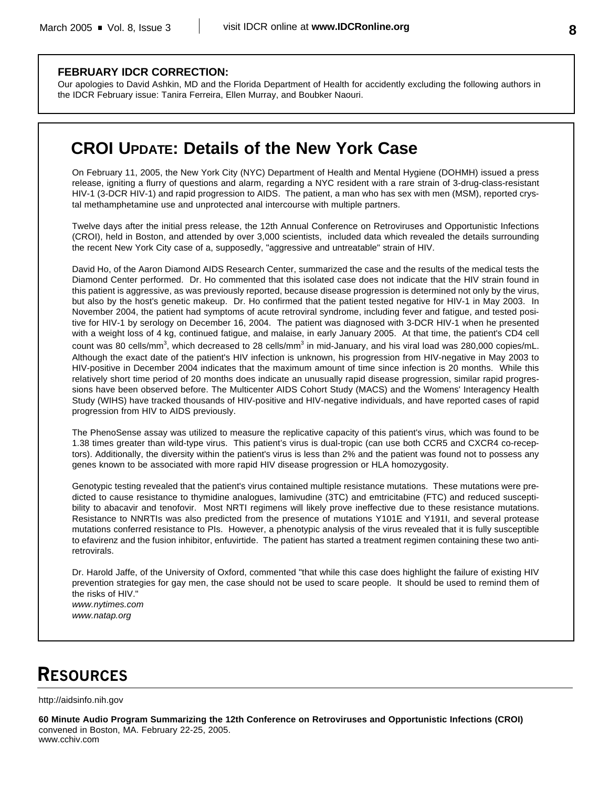### **FEBRUARY IDCR CORRECTION:**

Our apologies to David Ashkin, MD and the Florida Department of Health for accidently excluding the following authors in the IDCR February issue: Tanira Ferreira, Ellen Murray, and Boubker Naouri.

## **CROI UPDATE: Details of the New York Case**

On February 11, 2005, the New York City (NYC) Department of Health and Mental Hygiene (DOHMH) issued a press release, igniting a flurry of questions and alarm, regarding a NYC resident with a rare strain of 3-drug-class-resistant HIV-1 (3-DCR HIV-1) and rapid progression to AIDS. The patient, a man who has sex with men (MSM), reported crystal methamphetamine use and unprotected anal intercourse with multiple partners.

Twelve days after the initial press release, the 12th Annual Conference on Retroviruses and Opportunistic Infections (CROI), held in Boston, and attended by over 3,000 scientists, included data which revealed the details surrounding the recent New York City case of a, supposedly, "aggressive and untreatable" strain of HIV.

David Ho, of the Aaron Diamond AIDS Research Center, summarized the case and the results of the medical tests the Diamond Center performed. Dr. Ho commented that this isolated case does not indicate that the HIV strain found in this patient is aggressive, as was previously reported, because disease progression is determined not only by the virus, but also by the host's genetic makeup. Dr. Ho confirmed that the patient tested negative for HIV-1 in May 2003. In November 2004, the patient had symptoms of acute retroviral syndrome, including fever and fatigue, and tested positive for HIV-1 by serology on December 16, 2004. The patient was diagnosed with 3-DCR HIV-1 when he presented with a weight loss of 4 kg, continued fatigue, and malaise, in early January 2005. At that time, the patient's CD4 cell count was 80 cells/mm<sup>3</sup>, which decreased to 28 cells/mm<sup>3</sup> in mid-January, and his viral load was 280,000 copies/mL. Although the exact date of the patient's HIV infection is unknown, his progression from HIV-negative in May 2003 to HIV-positive in December 2004 indicates that the maximum amount of time since infection is 20 months. While this relatively short time period of 20 months does indicate an unusually rapid disease progression, similar rapid progressions have been observed before. The Multicenter AIDS Cohort Study (MACS) and the Womens' Interagency Health Study (WIHS) have tracked thousands of HIV-positive and HIV-negative individuals, and have reported cases of rapid progression from HIV to AIDS previously.

The PhenoSense assay was utilized to measure the replicative capacity of this patient's virus, which was found to be 1.38 times greater than wild-type virus. This patient's virus is dual-tropic (can use both CCR5 and CXCR4 co-receptors). Additionally, the diversity within the patient's virus is less than 2% and the patient was found not to possess any genes known to be associated with more rapid HIV disease progression or HLA homozygosity.

Genotypic testing revealed that the patient's virus contained multiple resistance mutations. These mutations were predicted to cause resistance to thymidine analogues, lamivudine (3TC) and emtricitabine (FTC) and reduced susceptibility to abacavir and tenofovir. Most NRTI regimens will likely prove ineffective due to these resistance mutations. Resistance to NNRTIs was also predicted from the presence of mutations Y101E and Y191I, and several protease mutations conferred resistance to PIs. However, a phenotypic analysis of the virus revealed that it is fully susceptible to efavirenz and the fusion inhibitor, enfuvirtide. The patient has started a treatment regimen containing these two antiretrovirals.

Dr. Harold Jaffe, of the University of Oxford, commented "that while this case does highlight the failure of existing HIV prevention strategies for gay men, the case should not be used to scare people. It should be used to remind them of the risks of HIV." *www.nytimes.com*

*www.natap.org*

# **RESOURCES**

#### http://aidsinfo.nih.gov

**60 Minute Audio Program Summarizing the 12th Conference on Retroviruses and Opportunistic Infections (CROI)** convened in Boston, MA. February 22-25, 2005. www.cchiv.com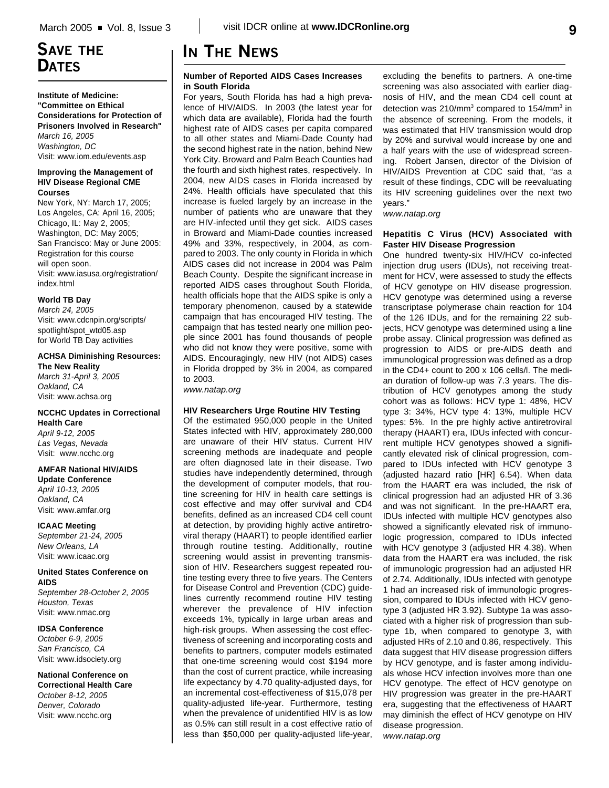## **SAVE THE DATES**

**Institute of Medicine: "Committee on Ethical Considerations for Protection of Prisoners Involved in Research"** *March 16, 2005 Washington, DC* Visit: www.iom.edu/events.asp

#### **Improving the Management of HIV Disease Regional CME Courses**

New York, NY: March 17, 2005; Los Angeles, CA: April 16, 2005; Chicago, IL: May 2, 2005; Washington, DC: May 2005; San Francisco: May or June 2005: Registration for this course will open soon. Visit: www.iasusa.org/registration/ index.html

### **World TB Day**

*March 24, 2005* Visit: www.cdcnpin.org/scripts/ spotlight/spot\_wtd05.asp for World TB Day activities

### **ACHSA Diminishing Resources:**

**The New Reality** *March 31-April 3, 2005 Oakland, CA* Visit: www.achsa.org

### **NCCHC Updates in Correctional Health Care**

*April 9-12, 2005 Las Vegas, Nevada* Visit: www.ncchc.org

### **AMFAR National HIV/AIDS**

**Update Conference** *April 10-13, 2005 Oakland, CA* Visit: www.amfar.org

**ICAAC Meeting** *September 21-24, 2005 New Orleans, LA* Visit: www.icaac.org

#### **United States Conference on AIDS**

*September 28-October 2, 2005 Houston, Texas* Visit: www.nmac.org

#### **IDSA Conference** *October 6-9, 2005*

*San Francisco, CA* Visit: www.idsociety.org

#### **National Conference on Correctional Health Care** *October 8-12, 2005 Denver, Colorado* Visit: www.ncchc.org

# **IN THE NEWS**

#### **Number of Reported AIDS Cases Increases in South Florida**

For years, South Florida has had a high prevalence of HIV/AIDS. In 2003 (the latest year for which data are available), Florida had the fourth highest rate of AIDS cases per capita compared to all other states and Miami-Dade County had the second highest rate in the nation, behind New York City. Broward and Palm Beach Counties had the fourth and sixth highest rates, respectively. In 2004, new AIDS cases in Florida increased by 24%. Health officials have speculated that this increase is fueled largely by an increase in the number of patients who are unaware that they are HIV-infected until they get sick. AIDS cases in Broward and Miami-Dade counties increased 49% and 33%, respectively, in 2004, as compared to 2003. The only county in Florida in which AIDS cases did not increase in 2004 was Palm Beach County. Despite the significant increase in reported AIDS cases throughout South Florida, health officials hope that the AIDS spike is only a temporary phenomenon, caused by a statewide campaign that has encouraged HIV testing. The campaign that has tested nearly one million people since 2001 has found thousands of people who did not know they were positive, some with AIDS. Encouragingly, new HIV (not AIDS) cases in Florida dropped by 3% in 2004, as compared to 2003.

*www.natap.org*

### **HIV Researchers Urge Routine HIV Testing**

Of the estimated 950,000 people in the United States infected with HIV, approximately 280,000 are unaware of their HIV status. Current HIV screening methods are inadequate and people are often diagnosed late in their disease. Two studies have independently determined, through the development of computer models, that routine screening for HIV in health care settings is cost effective and may offer survival and CD4 benefits, defined as an increased CD4 cell count at detection, by providing highly active antiretroviral therapy (HAART) to people identified earlier through routine testing. Additionally, routine screening would assist in preventing transmission of HIV. Researchers suggest repeated routine testing every three to five years. The Centers for Disease Control and Prevention (CDC) guidelines currently recommend routine HIV testing wherever the prevalence of HIV infection exceeds 1%, typically in large urban areas and high-risk groups. When assessing the cost effectiveness of screening and incorporating costs and benefits to partners, computer models estimated that one-time screening would cost \$194 more than the cost of current practice, while increasing life expectancy by 4.70 quality-adjusted days, for an incremental cost-effectiveness of \$15,078 per quality-adjusted life-year. Furthermore, testing when the prevalence of unidentified HIV is as low as 0.5% can still result in a cost effective ratio of less than \$50,000 per quality-adjusted life-year,

excluding the benefits to partners. A one-time screening was also associated with earlier diagnosis of HIV, and the mean CD4 cell count at detection was 210/mm<sup>3</sup> compared to 154/mm<sup>3</sup> in the absence of screening. From the models, it was estimated that HIV transmission would drop by 20% and survival would increase by one and a half years with the use of widespread screening. Robert Jansen, director of the Division of HIV/AIDS Prevention at CDC said that, "as a result of these findings, CDC will be reevaluating its HIV screening guidelines over the next two years."

*www.natap.org*

#### **Hepatitis C Virus (HCV) Associated with Faster HIV Disease Progression**

One hundred twenty-six HIV/HCV co-infected injection drug users (IDUs), not receiving treatment for HCV, were assessed to study the effects of HCV genotype on HIV disease progression. HCV genotype was determined using a reverse transcriptase polymerase chain reaction for 104 of the 126 IDUs, and for the remaining 22 subjects, HCV genotype was determined using a line probe assay. Clinical progression was defined as progression to AIDS or pre-AIDS death and immunological progression was defined as a drop in the CD4+ count to 200 x 106 cells/l. The median duration of follow-up was 7.3 years. The distribution of HCV genotypes among the study cohort was as follows: HCV type 1: 48%, HCV type 3: 34%, HCV type 4: 13%, multiple HCV types: 5%. In the pre highly active antiretroviral therapy (HAART) era, IDUs infected with concurrent multiple HCV genotypes showed a significantly elevated risk of clinical progression, compared to IDUs infected with HCV genotype 3 (adjusted hazard ratio [HR] 6.54). When data from the HAART era was included, the risk of clinical progression had an adjusted HR of 3.36 and was not significant. In the pre-HAART era, IDUs infected with multiple HCV genotypes also showed a significantly elevated risk of immunologic progression, compared to IDUs infected with HCV genotype 3 (adjusted HR 4.38). When data from the HAART era was included, the risk of immunologic progression had an adjusted HR of 2.74. Additionally, IDUs infected with genotype 1 had an increased risk of immunologic progression, compared to IDUs infected with HCV genotype 3 (adjusted HR 3.92). Subtype 1a was associated with a higher risk of progression than subtype 1b, when compared to genotype 3, with adjusted HRs of 2.10 and 0.86, respectively. This data suggest that HIV disease progression differs by HCV genotype, and is faster among individuals whose HCV infection involves more than one HCV genotype. The effect of HCV genotype on HIV progression was greater in the pre-HAART era, suggesting that the effectiveness of HAART may diminish the effect of HCV genotype on HIV disease progression. *www.natap.org*